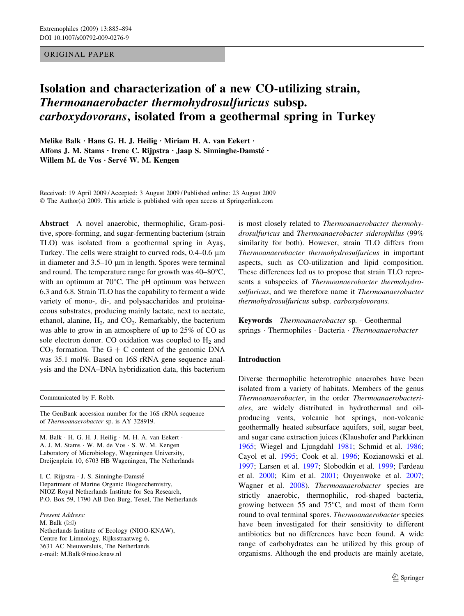# ORIGINAL PAPER

# Isolation and characterization of a new CO-utilizing strain, Thermoanaerobacter thermohydrosulfuricus subsp. carboxydovorans, isolated from a geothermal spring in Turkey

Melike Balk  $\cdot$  Hans G. H. J. Heilig  $\cdot$  Miriam H. A. van Eekert  $\cdot$ Alfons J. M. Stams · Irene C. Rijpstra · Jaap S. Sinninghe-Damsté · Willem M. de Vos · Servé W. M. Kengen

Received: 19 April 2009 / Accepted: 3 August 2009 / Published online: 23 August 2009  $\odot$  The Author(s) 2009. This article is published with open access at Springerlink.com

Abstract A novel anaerobic, thermophilic, Gram-positive, spore-forming, and sugar-fermenting bacterium (strain TLO) was isolated from a geothermal spring in Ayas, Turkey. The cells were straight to curved rods,  $0.4-0.6 \mu m$ in diameter and  $3.5-10 \mu m$  in length. Spores were terminal and round. The temperature range for growth was  $40-80^{\circ}$ C, with an optimum at  $70^{\circ}$ C. The pH optimum was between 6.3 and 6.8. Strain TLO has the capability to ferment a wide variety of mono-, di-, and polysaccharides and proteinaceous substrates, producing mainly lactate, next to acetate, ethanol, alanine,  $H_2$ , and  $CO_2$ . Remarkably, the bacterium was able to grow in an atmosphere of up to 25% of CO as sole electron donor. CO oxidation was coupled to  $H_2$  and  $CO<sub>2</sub>$  formation. The G + C content of the genomic DNA was 35.1 mol%. Based on 16S rRNA gene sequence analysis and the DNA–DNA hybridization data, this bacterium

Communicated by F. Robb.

The GenBank accession number for the 16S rRNA sequence of Thermoanaerobacter sp. is AY 328919.

M. Balk · H. G. H. J. Heilig · M. H. A. van Eekert · A. J. M. Stams · W. M. de Vos · S. W. M. Kengen Laboratory of Microbiology, Wageningen University, Dreijenplein 10, 6703 HB Wageningen, The Netherlands

I. C. Rijpstra · J. S. Sinninghe-Damsté Department of Marine Organic Biogeochemistry, NIOZ Royal Netherlands Institute for Sea Research, P.O. Box 59, 1790 AB Den Burg, Texel, The Netherlands

Present Address: M. Balk  $(\boxtimes)$ Netherlands Institute of Ecology (NIOO-KNAW), Centre for Limnology, Rijksstraatweg 6, 3631 AC Nieuwersluis, The Netherlands e-mail: M.Balk@nioo.knaw.nl

is most closely related to Thermoanaerobacter thermohydrosulfuricus and Thermoanaerobacter siderophilus (99% similarity for both). However, strain TLO differs from Thermoanaerobacter thermohydrosulfuricus in important aspects, such as CO-utilization and lipid composition. These differences led us to propose that strain TLO represents a subspecies of Thermoanaerobacter thermohydrosulfuricus, and we therefore name it Thermoanaerobacter thermohydrosulfuricus subsp. carboxydovorans.

Keywords Thermoanaerobacter sp. Geothermal springs · Thermophiles · Bacteria · Thermoanaerobacter

#### Introduction

Diverse thermophilic heterotrophic anaerobes have been isolated from a variety of habitats. Members of the genus Thermoanaerobacter, in the order Thermoanaerobacteriales, are widely distributed in hydrothermal and oilproducing vents, volcanic hot springs, non-volcanic geothermally heated subsurface aquifers, soil, sugar beet, and sugar cane extraction juices (Klaushofer and Parkkinen [1965](#page-8-0); Wiegel and Ljungdahl [1981](#page-9-0); Schmid et al. [1986](#page-8-0); Cayol et al. [1995;](#page-7-0) Cook et al. [1996;](#page-7-0) Kozianowski et al. [1997](#page-8-0); Larsen et al. [1997;](#page-8-0) Slobodkin et al. [1999](#page-8-0); Fardeau et al. [2000;](#page-7-0) Kim et al. [2001;](#page-8-0) Onyenwoke et al. [2007](#page-8-0); Wagner et al. [2008\)](#page-9-0). Thermoanaerobacter species are strictly anaerobic, thermophilic, rod-shaped bacteria, growing between 55 and 75 $\degree$ C, and most of them form round to oval terminal spores. Thermoanaerobacter species have been investigated for their sensitivity to different antibiotics but no differences have been found. A wide range of carbohydrates can be utilized by this group of organisms. Although the end products are mainly acetate,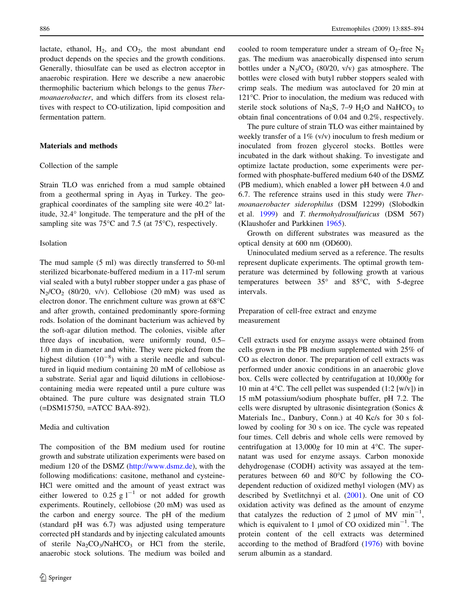lactate, ethanol,  $H_2$ , and  $CO_2$ , the most abundant end product depends on the species and the growth conditions. Generally, thiosulfate can be used as electron acceptor in anaerobic respiration. Here we describe a new anaerobic thermophilic bacterium which belongs to the genus Thermoanaerobacter, and which differs from its closest relatives with respect to CO-utilization, lipid composition and fermentation pattern.

#### Materials and methods

#### Collection of the sample

Strain TLO was enriched from a mud sample obtained from a geothermal spring in Ayas in Turkey. The geographical coordinates of the sampling site were  $40.2^\circ$  latitude, 32.4° longitude. The temperature and the pH of the sampling site was  $75^{\circ}$ C and 7.5 (at 75 $^{\circ}$ C), respectively.

#### Isolation

The mud sample (5 ml) was directly transferred to 50-ml sterilized bicarbonate-buffered medium in a 117-ml serum vial sealed with a butyl rubber stopper under a gas phase of  $N_2/CO_2$  (80/20, v/v). Cellobiose (20 mM) was used as electron donor. The enrichment culture was grown at 68°C and after growth, contained predominantly spore-forming rods. Isolation of the dominant bacterium was achieved by the soft-agar dilution method. The colonies, visible after three days of incubation, were uniformly round, 0.5– 1.0 mm in diameter and white. They were picked from the highest dilution  $(10^{-8})$  with a sterile needle and subcultured in liquid medium containing 20 mM of cellobiose as a substrate. Serial agar and liquid dilutions in cellobiosecontaining media were repeated until a pure culture was obtained. The pure culture was designated strain TLO (=DSM15750, =ATCC BAA-892).

#### Media and cultivation

The composition of the BM medium used for routine growth and substrate utilization experiments were based on medium 120 of the DSMZ (<http://www.dsmz.de>), with the following modifications: casitone, methanol and cysteine-HCl were omitted and the amount of yeast extract was either lowered to 0.25 g  $1^{-1}$  or not added for growth experiments. Routinely, cellobiose (20 mM) was used as the carbon and energy source. The pH of the medium (standard pH was 6.7) was adjusted using temperature corrected pH standards and by injecting calculated amounts of sterile  $Na_2CO_3/NaHCO_3$  or HCl from the sterile, anaerobic stock solutions. The medium was boiled and cooled to room temperature under a stream of  $O_2$ -free N<sub>2</sub> gas. The medium was anaerobically dispensed into serum bottles under a  $N_2/CO_2$  (80/20, v/v) gas atmosphere. The bottles were closed with butyl rubber stoppers sealed with crimp seals. The medium was autoclaved for 20 min at 121°C. Prior to inoculation, the medium was reduced with sterile stock solutions of Na<sub>2</sub>S, 7–9  $H_2O$  and NaHCO<sub>3</sub> to obtain final concentrations of 0.04 and 0.2%, respectively.

The pure culture of strain TLO was either maintained by weekly transfer of a 1% (v/v) inoculum to fresh medium or inoculated from frozen glycerol stocks. Bottles were incubated in the dark without shaking. To investigate and optimize lactate production, some experiments were performed with phosphate-buffered medium 640 of the DSMZ (PB medium), which enabled a lower pH between 4.0 and 6.7. The reference strains used in this study were Thermoanaerobacter siderophilus (DSM 12299) (Slobodkin et al. [1999](#page-8-0)) and T. thermohydrosulfuricus (DSM 567) (Klaushofer and Parkkinen [1965\)](#page-8-0).

Growth on different substrates was measured as the optical density at 600 nm (OD600).

Uninoculated medium served as a reference. The results represent duplicate experiments. The optimal growth temperature was determined by following growth at various temperatures between  $35^{\circ}$  and  $85^{\circ}$ C, with 5-degree intervals.

Preparation of cell-free extract and enzyme measurement

Cell extracts used for enzyme assays were obtained from cells grown in the PB medium supplemented with 25% of CO as electron donor. The preparation of cell extracts was performed under anoxic conditions in an anaerobic glove box. Cells were collected by centrifugation at 10,000g for 10 min at  $4^{\circ}$ C. The cell pellet was suspended (1:2 [w/v]) in 15 mM potassium/sodium phosphate buffer, pH 7.2. The cells were disrupted by ultrasonic disintegration (Sonics & Materials Inc., Danbury, Conn.) at 40 Kc/s for 30 s followed by cooling for 30 s on ice. The cycle was repeated four times. Cell debris and whole cells were removed by centrifugation at  $13,000g$  for 10 min at 4°C. The supernatant was used for enzyme assays. Carbon monoxide dehydrogenase (CODH) activity was assayed at the temperatures between 60 and  $80^{\circ}$ C by following the COdependent reduction of oxidized methyl viologen (MV) as described by Svetlitchnyi et al. [\(2001](#page-9-0)). One unit of CO oxidation activity was defined as the amount of enzyme that catalyzes the reduction of 2  $\mu$ mol of MV min<sup>-1</sup>, which is equivalent to 1 µmol of CO oxidized min<sup>-1</sup>. The protein content of the cell extracts was determined according to the method of Bradford ([1976\)](#page-7-0) with bovine serum albumin as a standard.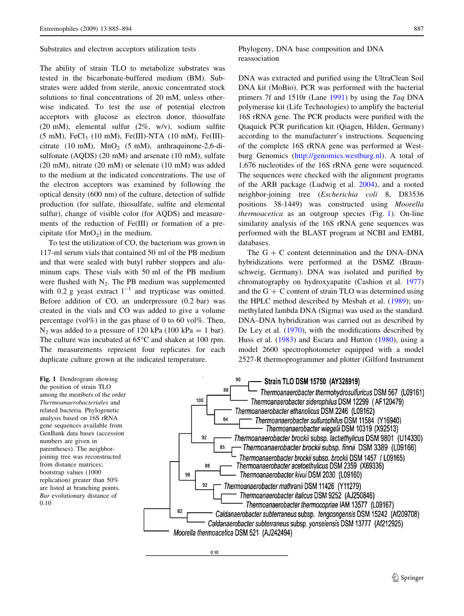<span id="page-2-0"></span>Substrates and electron acceptors utilization tests

The ability of strain TLO to metabolize substrates was tested in the bicarbonate-buffered medium (BM). Substrates were added from sterile, anoxic concentrated stock solutions to final concentrations of 20 mM, unless otherwise indicated. To test the use of potential electron acceptors with glucose as electron donor, thiosulfate (20 mM), elemental sulfur (2%, w/v), sodium sulfite  $(5 \text{ mM})$ , FeCl<sub>3</sub> (10 mM), Fe(III)-NTA (10 mM), Fe(III)citrate (10 mM),  $MnO<sub>2</sub>$  (5 mM), anthraquinone-2,6-disulfonate (AQDS) (20 mM) and arsenate (10 mM), sulfate (20 mM), nitrate (20 mM) or selenate (10 mM) was added to the medium at the indicated concentrations. The use of the electron acceptors was examined by following the optical density (600 nm) of the culture, detection of sulfide production (for sulfate, thiosulfate, sulfite and elemental sulfur), change of visible color (for AQDS) and measurements of the reduction of Fe(III) or formation of a precipitate (for  $MnO<sub>2</sub>$ ) in the medium.

To test the utilization of CO, the bacterium was grown in 117-ml serum vials that contained 50 ml of the PB medium and that were sealed with butyl rubber stoppers and aluminum caps. These vials with 50 ml of the PB medium were flushed with  $N_2$ . The PB medium was supplemented with 0.2 g yeast extract  $1^{-1}$  and trypticase was omitted. Before addition of CO, an underpressure (0.2 bar) was created in the vials and CO was added to give a volume percentage (vol $\%$ ) in the gas phase of 0 to 60 vol $\%$ . Then,  $N_2$  was added to a pressure of 120 kPa (100 kPa = 1 bar). The culture was incubated at  $65^{\circ}$ C and shaken at 100 rpm. The measurements represent four replicates for each duplicate culture grown at the indicated temperature.

Phylogeny, DNA base composition and DNA reassociation

DNA was extracted and purified using the UltraClean Soil DNA kit (MoBio). PCR was performed with the bacterial primers 7f and 1510r (Lane [1991](#page-8-0)) by using the Taq DNA polymerase kit (Life Technologies) to amplify the bacterial 16S rRNA gene. The PCR products were purified with the Qiaquick PCR purification kit (Qiagen, Hilden, Germany) according to the manufacturer's instructions. Sequencing of the complete 16S rRNA gene was performed at Westburg Genomics [\(http://genomics.westburg.nl](http://genomics.westburg.nl)). A total of 1,676 nucleotides of the 16S rRNA gene were sequenced. The sequences were checked with the alignment programs of the ARB package (Ludwig et al. [2004\)](#page-8-0), and a rooted neighbor-joining tree (Escherichia coli 8, D83536 positions 38-1449) was constructed using Moorella thermoacetica as an outgroup species (Fig. 1). On-line similarity analysis of the 16S rRNA gene sequences was performed with the BLAST program at NCBI and EMBL databases.

The  $G + C$  content determination and the DNA–DNA hybridizations were performed at the DSMZ (Braunschweig, Germany). DNA was isolated and purified by chromatography on hydroxyapatite (Cashion et al. [1977\)](#page-7-0) and the  $G + C$  content of strain TLO was determined using the HPLC method described by Mesbah et al. [\(1989](#page-8-0)); unmethylated lambda DNA (Sigma) was used as the standard. DNA–DNA hybridization was carried out as described by De Ley et al. ([1970\)](#page-7-0), with the modifications described by Huss et al. ([1983\)](#page-8-0) and Escara and Hutton [\(1980](#page-7-0)), using a model 2600 spectrophotometer equipped with a model 2527-R thermoprogrammer and plotter (Gilford Instrument

Fig. 1 Dendrogram showing the position of strain TLO among the members of the order Thermoanaerobacteriales and related bacteria. Phylogenetic analysis based on 16S rRNA gene sequences available from GenBank data bases (accession numbers are given in parentheses). The neighborjoining tree was reconstructed from distance matrices; bootstrap values (1000 replication) greater than 50% are listed at branching points. Bar evolutionary distance of 0.10



 $0.10$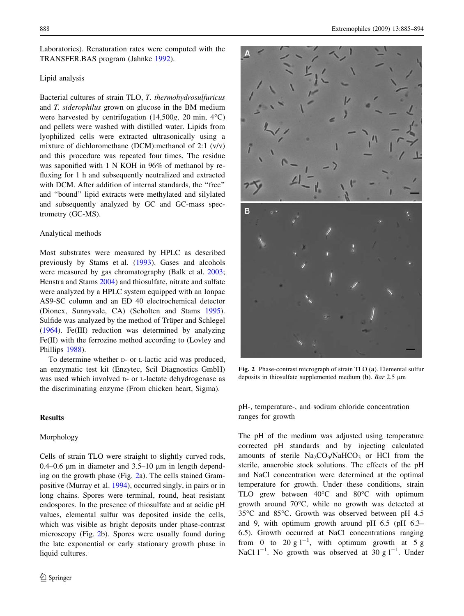Laboratories). Renaturation rates were computed with the TRANSFER.BAS program (Jahnke [1992\)](#page-8-0).

## Lipid analysis

Bacterial cultures of strain TLO, T. thermohydrosulfuricus and T. siderophilus grown on glucose in the BM medium were harvested by centrifugation  $(14,500g, 20 \text{ min}, 4^{\circ}\text{C})$ and pellets were washed with distilled water. Lipids from lyophilized cells were extracted ultrasonically using a mixture of dichloromethane (DCM):methanol of 2:1 (v/v) and this procedure was repeated four times. The residue was saponified with 1 N KOH in 96% of methanol by refluxing for 1 h and subsequently neutralized and extracted with DCM. After addition of internal standards, the "free" and ''bound'' lipid extracts were methylated and silylated and subsequently analyzed by GC and GC-mass spectrometry (GC-MS).

#### Analytical methods

Most substrates were measured by HPLC as described previously by Stams et al. [\(1993](#page-9-0)). Gases and alcohols were measured by gas chromatography (Balk et al. [2003](#page-7-0); Henstra and Stams [2004\)](#page-8-0) and thiosulfate, nitrate and sulfate were analyzed by a HPLC system equipped with an Ionpac AS9-SC column and an ED 40 electrochemical detector (Dionex, Sunnyvale, CA) (Scholten and Stams [1995](#page-8-0)). Sulfide was analyzed by the method of Trüper and Schlegel [\(1964](#page-9-0)). Fe(III) reduction was determined by analyzing Fe(II) with the ferrozine method according to (Lovley and Phillips [1988\)](#page-8-0).

To determine whether D- or L-lactic acid was produced, an enzymatic test kit (Enzytec, Scil Diagnostics GmbH) was used which involved  $D$ - or *L*-lactate dehydrogenase as the discriminating enzyme (From chicken heart, Sigma).

# Results

### Morphology

Cells of strain TLO were straight to slightly curved rods, 0.4–0.6  $\mu$ m in diameter and 3.5–10  $\mu$ m in length depending on the growth phase (Fig. 2a). The cells stained Grampositive (Murray et al. [1994\)](#page-8-0), occurred singly, in pairs or in long chains. Spores were terminal, round, heat resistant endospores. In the presence of thiosulfate and at acidic pH values, elemental sulfur was deposited inside the cells, which was visible as bright deposits under phase-contrast microscopy (Fig. 2b). Spores were usually found during the late exponential or early stationary growth phase in liquid cultures.



Fig. 2 Phase-contrast micrograph of strain TLO (a). Elemental sulfur deposits in thiosulfate supplemented medium (b). Bar 2.5  $\mu$ m

pH-, temperature-, and sodium chloride concentration ranges for growth

The pH of the medium was adjusted using temperature corrected pH standards and by injecting calculated amounts of sterile  $Na_2CO_3/NaHCO_3$  or HCl from the sterile, anaerobic stock solutions. The effects of the pH and NaCl concentration were determined at the optimal temperature for growth. Under these conditions, strain TLO grew between  $40^{\circ}$ C and  $80^{\circ}$ C with optimum growth around  $70^{\circ}$ C, while no growth was detected at 35°C and 85°C. Growth was observed between pH 4.5 and 9, with optimum growth around pH 6.5 (pH 6.3– 6.5). Growth occurred at NaCl concentrations ranging from 0 to 20 g  $1^{-1}$ , with optimum growth at 5 g NaCl  $1^{-1}$ . No growth was observed at 30 g  $1^{-1}$ . Under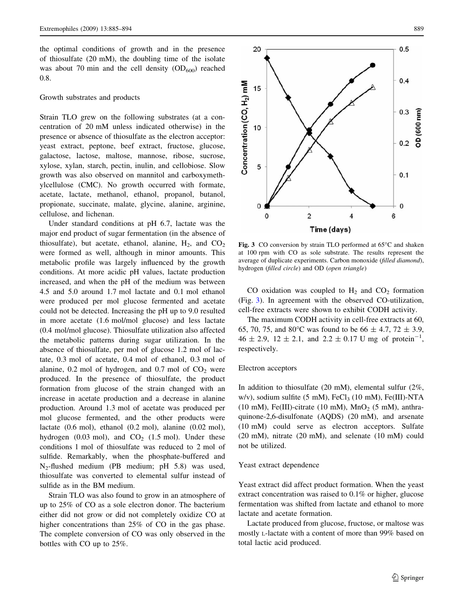the optimal conditions of growth and in the presence of thiosulfate (20 mM), the doubling time of the isolate was about 70 min and the cell density  $(OD_{600})$  reached 0.8.

# Growth substrates and products

Strain TLO grew on the following substrates (at a concentration of 20 mM unless indicated otherwise) in the presence or absence of thiosulfate as the electron acceptor: yeast extract, peptone, beef extract, fructose, glucose, galactose, lactose, maltose, mannose, ribose, sucrose, xylose, xylan, starch, pectin, inulin, and cellobiose. Slow growth was also observed on mannitol and carboxymethylcellulose (CMC). No growth occurred with formate, acetate, lactate, methanol, ethanol, propanol, butanol, propionate, succinate, malate, glycine, alanine, arginine, cellulose, and lichenan.

Under standard conditions at pH 6.7, lactate was the major end product of sugar fermentation (in the absence of thiosulfate), but acetate, ethanol, alanine,  $H_2$ , and  $CO_2$ were formed as well, although in minor amounts. This metabolic profile was largely influenced by the growth conditions. At more acidic pH values, lactate production increased, and when the pH of the medium was between 4.5 and 5.0 around 1.7 mol lactate and 0.1 mol ethanol were produced per mol glucose fermented and acetate could not be detected. Increasing the pH up to 9.0 resulted in more acetate (1.6 mol/mol glucose) and less lactate (0.4 mol/mol glucose). Thiosulfate utilization also affected the metabolic patterns during sugar utilization. In the absence of thiosulfate, per mol of glucose 1.2 mol of lactate, 0.3 mol of acetate, 0.4 mol of ethanol, 0.3 mol of alanine,  $0.2$  mol of hydrogen, and  $0.7$  mol of  $CO<sub>2</sub>$  were produced. In the presence of thiosulfate, the product formation from glucose of the strain changed with an increase in acetate production and a decrease in alanine production. Around 1.3 mol of acetate was produced per mol glucose fermented, and the other products were lactate (0.6 mol), ethanol (0.2 mol), alanine (0.02 mol), hydrogen (0.03 mol), and  $CO<sub>2</sub>$  (1.5 mol). Under these conditions 1 mol of thiosulfate was reduced to 2 mol of sulfide. Remarkably, when the phosphate-buffered and N2-flushed medium (PB medium; pH 5.8) was used, thiosulfate was converted to elemental sulfur instead of sulfide as in the BM medium.

Strain TLO was also found to grow in an atmosphere of up to 25% of CO as a sole electron donor. The bacterium either did not grow or did not completely oxidize CO at higher concentrations than 25% of CO in the gas phase. The complete conversion of CO was only observed in the bottles with CO up to 25%.



Fig. 3 CO conversion by strain TLO performed at 65°C and shaken at 100 rpm with CO as sole substrate. The results represent the average of duplicate experiments. Carbon monoxide (filled diamond), hydrogen (filled circle) and OD (open triangle)

CO oxidation was coupled to  $H_2$  and  $CO_2$  formation (Fig. 3). In agreement with the observed CO-utilization, cell-free extracts were shown to exhibit CODH activity.

The maximum CODH activity in cell-free extracts at 60, 65, 70, 75, and 80°C was found to be 66  $\pm$  4.7, 72  $\pm$  3.9,  $46 \pm 2.9$ ,  $12 \pm 2.1$ , and  $2.2 \pm 0.17$  U mg of protein<sup>-1</sup>, respectively.

#### Electron acceptors

In addition to thiosulfate (20 mM), elemental sulfur (2%, w/v), sodium sulfite  $(5 \text{ mM})$ , FeCl<sub>3</sub>  $(10 \text{ mM})$ , Fe $(III)$ -NTA (10 mM), Fe(III)-citrate (10 mM),  $MnO<sub>2</sub>$  (5 mM), anthraquinone-2,6-disulfonate (AQDS) (20 mM), and arsenate (10 mM) could serve as electron acceptors. Sulfate (20 mM), nitrate (20 mM), and selenate (10 mM) could not be utilized.

#### Yeast extract dependence

Yeast extract did affect product formation. When the yeast extract concentration was raised to 0.1% or higher, glucose fermentation was shifted from lactate and ethanol to more lactate and acetate formation.

Lactate produced from glucose, fructose, or maltose was mostly L-lactate with a content of more than 99% based on total lactic acid produced.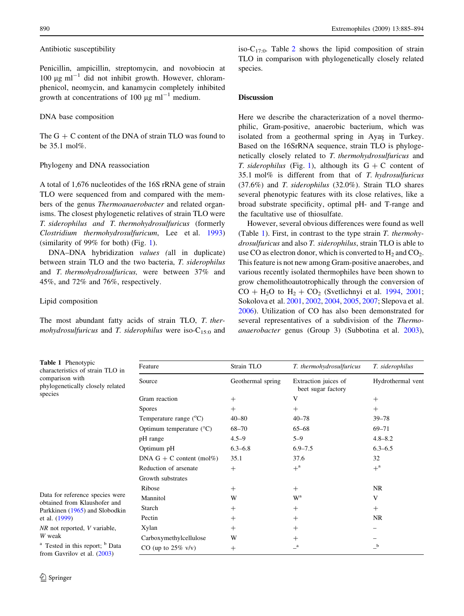<span id="page-5-0"></span>Antibiotic susceptibility

Penicillin, ampicillin, streptomycin, and novobiocin at 100  $\mu$ g ml<sup>-1</sup> did not inhibit growth. However, chloramphenicol, neomycin, and kanamycin completely inhibited growth at concentrations of 100  $\mu$ g ml<sup>-1</sup> medium.

### DNA base composition

The  $G + C$  content of the DNA of strain TLO was found to be 35.1 mol%.

# Phylogeny and DNA reassociation

A total of 1,676 nucleotides of the 16S rRNA gene of strain TLO were sequenced from and compared with the members of the genus Thermoanaerobacter and related organisms. The closest phylogenetic relatives of strain TLO were T. siderophilus and T. thermohydrosulfuricus (formerly Clostridium thermohydrosulfuricum, Lee et al. [1993\)](#page-8-0) (similarity of 99% for both) (Fig. [1](#page-2-0)).

DNA–DNA hybridization values (all in duplicate) between strain TLO and the two bacteria, T. siderophilus and T. thermohydrosulfuricus, were between 37% and 45%, and 72% and 76%, respectively.

## Lipid composition

Table 1 Phenotypic

The most abundant fatty acids of strain TLO, T. thermohydrosulfuricus and T. siderophilus were iso- $C_{15:0}$  and iso- $C_{17.0}$ . Table [2](#page-6-0) shows the lipid composition of strain TLO in comparison with phylogenetically closely related species.

## Discussion

Here we describe the characterization of a novel thermophilic, Gram-positive, anaerobic bacterium, which was isolated from a geothermal spring in Ayas in Turkey. Based on the 16SrRNA sequence, strain TLO is phylogenetically closely related to T. thermohydrosulfuricus and T. siderophilus (Fig. [1\)](#page-2-0), although its  $G + C$  content of 35.1 mol% is different from that of T. hydrosulfuricus (37.6%) and T. siderophilus (32.0%). Strain TLO shares several phenotypic features with its close relatives, like a broad substrate specificity, optimal pH- and T-range and the facultative use of thiosulfate.

However, several obvious differences were found as well (Table 1). First, in contrast to the type strain  $T$ . thermohydrosulfuricus and also T. siderophilus, strain TLO is able to use CO as electron donor, which is converted to  $H_2$  and CO<sub>2</sub>. This feature is not new among Gram-positive anaerobes, and various recently isolated thermophiles have been shown to grow chemolithoautotrophically through the conversion of  $CO + H<sub>2</sub>O$  to  $H<sub>2</sub> + CO<sub>2</sub>$  (Svetlichnyi et al. [1994,](#page-9-0) [2001](#page-9-0); Sokolova et al. [2001,](#page-8-0) [2002](#page-8-0), [2004,](#page-8-0) [2005,](#page-8-0) [2007](#page-9-0); Slepova et al. [2006](#page-8-0)). Utilization of CO has also been demonstrated for several representatives of a subdivision of the Thermoanaerobacter genus (Group 3) (Subbotina et al. [2003](#page-9-0)),

characteristics of strain TLO in comparison with phylogenetically closely related species

Data for reference species were obtained from Klaushofer and Parkkinen [\(1965](#page-8-0)) and Slobodkin et al. ([1999\)](#page-8-0)

NR not reported, V variable, W weak

 $a$  Tested in this report;  $b$  Data from Gavrilov et al. [\(2003](#page-8-0))

| Feature                           | Strain TLO        | T. thermohydrosulfuricus                   | T. siderophilus<br>Hydrothermal vent |  |
|-----------------------------------|-------------------|--------------------------------------------|--------------------------------------|--|
| Source                            | Geothermal spring | Extraction juices of<br>beet sugar factory |                                      |  |
| Gram reaction                     | $^{+}$            | V                                          | $^{+}$                               |  |
| <b>Spores</b>                     | $+$               | $^{+}$                                     | $^{+}$                               |  |
| Temperature range $(^{\circ}C)$   | $40 - 80$         | $40 - 78$                                  | $39 - 78$                            |  |
| Optimum temperature $(^{\circ}C)$ | 68-70             | $65 - 68$                                  | $69 - 71$                            |  |
| pH range                          | $4.5 - 9$         | $5 - 9$                                    | $4.8 - 8.2$                          |  |
| Optimum pH                        | $6.3 - 6.8$       | $6.9 - 7.5$                                | $6.3 - 6.5$                          |  |
| DNA $G + C$ content (mol%)        | 35.1              | 37.6                                       | 32                                   |  |
| Reduction of arsenate             | $+$               | $+$ <sup>a</sup>                           | $+^{\mathrm{a}}$                     |  |
| Growth substrates                 |                   |                                            |                                      |  |
| Ribose                            | $^{+}$            | $^{+}$                                     | NR                                   |  |
| Mannitol                          | W                 | W <sup>a</sup>                             | V                                    |  |
| Starch                            | $+$               | $^{+}$                                     | $^{+}$                               |  |
| Pectin                            | $^{+}$            | $^{+}$                                     | NR.                                  |  |
| Xylan                             | $+$               | $^{+}$                                     |                                      |  |
| Carboxymethylcellulose            | W                 | $^{+}$                                     |                                      |  |
| CO (up to $25\%$ v/v)             | $^{+}$            | $\mathbf{a}$                               | b                                    |  |
|                                   |                   |                                            |                                      |  |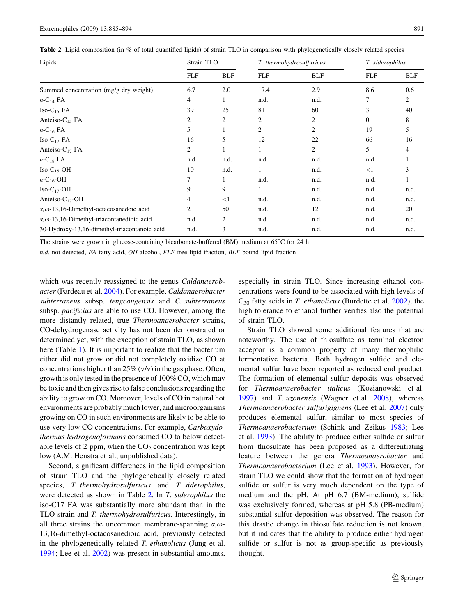<span id="page-6-0"></span>

|  |  |  |  |  |  | Table 2 Lipid composition (in % of total quantified lipids) of strain TLO in comparison with phylogenetically closely related species |
|--|--|--|--|--|--|---------------------------------------------------------------------------------------------------------------------------------------|
|--|--|--|--|--|--|---------------------------------------------------------------------------------------------------------------------------------------|

| Lipids                                                    | Strain TLO     |            | T. thermohydrosulfuricus |            | T. siderophilus |            |
|-----------------------------------------------------------|----------------|------------|--------------------------|------------|-----------------|------------|
|                                                           | <b>FLF</b>     | <b>BLF</b> | <b>FLF</b>               | <b>BLF</b> | <b>FLF</b>      | <b>BLF</b> |
| Summed concentration (mg/g dry weight)                    | 6.7            | 2.0        | 17.4                     | 2.9        | 8.6             | 0.6        |
| $n$ -C <sub>14</sub> FA                                   | 4              | 1          | n.d.                     | n.d.       | 7               | 2          |
| $Iso-C_{15}FA$                                            | 39             | 25         | 81                       | 60         | 3               | 40         |
| Anteiso- $C_{15}$ FA                                      | 2              | 2          | 2                        | 2          | $\mathbf{0}$    | 8          |
| $n-C_{16}FA$                                              | 5              |            | 2                        | 2          | 19              | 5          |
| $Iso-C_{17}FA$                                            | 16             | 5          | 12                       | 22         | 66              | 16         |
| Anteiso- $C_{17}$ FA                                      | $\overline{2}$ |            |                          | 2          | 5               | 4          |
| $n$ -C <sub>18</sub> FA                                   | n.d.           | n.d.       | n.d.                     | n.d.       | n.d.            |            |
| $Iso-C_{15}$ -OH                                          | 10             | n.d.       |                          | n.d.       | <1              | 3          |
| $n$ -C <sub>16</sub> -OH                                  | 7              |            | n.d.                     | n.d.       | n.d.            |            |
| $Iso-C_{17}$ -OH                                          | 9              | 9          |                          | n.d.       | n.d.            | n.d.       |
| Anteiso- $C_{17}$ -OH                                     | 4              | <1         | n.d.                     | n.d.       | n.d.            | n.d.       |
| $\alpha$ , $\omega$ -13,16-Dimethyl-octacosanedoic acid   | 2              | 50         | n.d.                     | 12         | n.d.            | 20         |
| $\alpha$ , $\omega$ -13,16-Dimethyl-triacontanedioic acid | n.d.           | 2          | n.d.                     | n.d.       | n.d.            | n.d.       |
| 30-Hydroxy-13,16-dimethyl-triacontanoic acid              | n.d.           | 3          | n.d.                     | n.d.       | n.d.            | n.d.       |

The strains were grown in glucose-containing bicarbonate-buffered  $(BM)$  medium at  $65^{\circ}$ C for 24 h

n.d. not detected, FA fatty acid, OH alcohol, FLF free lipid fraction, BLF bound lipid fraction

which was recently reassigned to the genus *Caldanaerob*acter (Fardeau et al. [2004\)](#page-7-0). For example, Caldanaerobacter subterraneus subsp. tengcongensis and C. subterraneus subsp. pacificius are able to use CO. However, among the more distantly related, true Thermoanaerobacter strains, CO-dehydrogenase activity has not been demonstrated or determined yet, with the exception of strain TLO, as shown here (Table [1\)](#page-5-0). It is important to realize that the bacterium either did not grow or did not completely oxidize CO at concentrations higher than  $25\%$  (v/v) in the gas phase. Often, growth is only tested in the presence of 100% CO, which may be toxic and then gives rise to false conclusions regarding the ability to grow on CO. Moreover, levels of CO in natural hot environments are probably much lower, and microorganisms growing on CO in such environments are likely to be able to use very low CO concentrations. For example, Carboxydothermus hydrogenoformans consumed CO to below detectable levels of 2 ppm, when the  $CO<sub>2</sub>$  concentration was kept low (A.M. Henstra et al., unpublished data).

Second, significant differences in the lipid composition of strain TLO and the phylogenetically closely related species, T. thermohydrosulfuricus and T. siderophilus, were detected as shown in Table 2. In T. siderophilus the iso-C17 FA was substantially more abundant than in the TLO strain and T. thermohydrosulfuricus. Interestingly, in all three strains the uncommon membrane-spanning  $\alpha$ ,  $\omega$ -13,16-dimethyl-octacosanedioic acid, previously detected in the phylogenetically related T. ethanolicus (Jung et al. [1994;](#page-8-0) Lee et al. [2002\)](#page-8-0) was present in substantial amounts,

especially in strain TLO. Since increasing ethanol concentrations were found to be associated with high levels of  $C_{30}$  fatty acids in T. ethanolicus (Burdette et al. [2002](#page-7-0)), the high tolerance to ethanol further verifies also the potential of strain TLO.

Strain TLO showed some additional features that are noteworthy. The use of thiosulfate as terminal electron acceptor is a common property of many thermophilic fermentative bacteria. Both hydrogen sulfide and elemental sulfur have been reported as reduced end product. The formation of elemental sulfur deposits was observed for Thermoanaerobacter italicus (Kozianowski et al. [1997](#page-8-0)) and T. uzonensis (Wagner et al. [2008\)](#page-9-0), whereas Thermoanaerobacter sulfurigignens (Lee et al. [2007\)](#page-8-0) only produces elemental sulfur, similar to most species of Thermoanaerobacterium (Schink and Zeikus [1983;](#page-8-0) Lee et al. [1993\)](#page-8-0). The ability to produce either sulfide or sulfur from thiosulfate has been proposed as a differentiating feature between the genera Thermoanaerobacter and Thermoanaerobacterium (Lee et al. [1993](#page-8-0)). However, for strain TLO we could show that the formation of hydrogen sulfide or sulfur is very much dependent on the type of medium and the pH. At pH 6.7 (BM-medium), sulfide was exclusively formed, whereas at pH 5.8 (PB-medium) substantial sulfur deposition was observed. The reason for this drastic change in thiosulfate reduction is not known, but it indicates that the ability to produce either hydrogen sulfide or sulfur is not as group-specific as previously thought.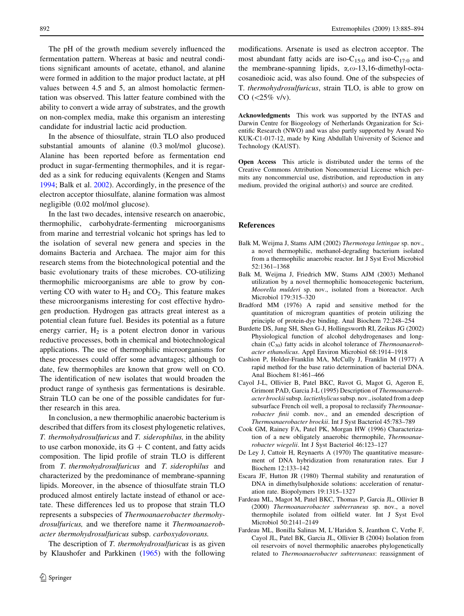<span id="page-7-0"></span>The pH of the growth medium severely influenced the fermentation pattern. Whereas at basic and neutral conditions significant amounts of acetate, ethanol, and alanine were formed in addition to the major product lactate, at pH values between 4.5 and 5, an almost homolactic fermentation was observed. This latter feature combined with the ability to convert a wide array of substrates, and the growth on non-complex media, make this organism an interesting candidate for industrial lactic acid production.

In the absence of thiosulfate, strain TLO also produced substantial amounts of alanine (0.3 mol/mol glucose). Alanine has been reported before as fermentation end product in sugar-fermenting thermophiles, and it is regarded as a sink for reducing equivalents (Kengen and Stams [1994;](#page-8-0) Balk et al. 2002). Accordingly, in the presence of the electron acceptor thiosulfate, alanine formation was almost negligible (0.02 mol/mol glucose).

In the last two decades, intensive research on anaerobic, thermophilic, carbohydrate-fermenting microorganisms from marine and terrestrial volcanic hot springs has led to the isolation of several new genera and species in the domains Bacteria and Archaea. The major aim for this research stems from the biotechnological potential and the basic evolutionary traits of these microbes. CO-utilizing thermophilic microorganisms are able to grow by converting CO with water to  $H_2$  and CO<sub>2</sub>. This feature makes these microorganisms interesting for cost effective hydrogen production. Hydrogen gas attracts great interest as a potential clean future fuel. Besides its potential as a future energy carrier,  $H_2$  is a potent electron donor in various reductive processes, both in chemical and biotechnological applications. The use of thermophilic microorganisms for these processes could offer some advantages; although to date, few thermophiles are known that grow well on CO. The identification of new isolates that would broaden the product range of synthesis gas fermentations is desirable. Strain TLO can be one of the possible candidates for further research in this area.

In conclusion, a new thermophilic anaerobic bacterium is described that differs from its closest phylogenetic relatives, T. thermohydrosulfuricus and T. siderophilus, in the ability to use carbon monoxide, its  $G + C$  content, and fatty acids composition. The lipid profile of strain TLO is different from T. thermohydrosulfuricus and T. siderophilus and characterized by the predominance of membrane-spanning lipids. Moreover, in the absence of thiosulfate strain TLO produced almost entirely lactate instead of ethanol or acetate. These differences led us to propose that strain TLO represents a subspecies of Thermoanaerobacter thermohydrosulfuricus, and we therefore name it Thermoanaerobacter thermohydrosulfuricus subsp. carboxydovorans.

The description of T. thermohydrosulfuricus is as given by Klaushofer and Parkkinen ([1965\)](#page-8-0) with the following

modifications. Arsenate is used as electron acceptor. The most abundant fatty acids are iso- $C_{15:0}$  and iso- $C_{17:0}$  and the membrane-spanning lipids,  $\alpha$ , $\omega$ -13,16-dimethyl-octacosanedioic acid, was also found. One of the subspecies of T. thermohydrosulfuricus, strain TLO, is able to grow on  $CO$  (<25% v/v).

Acknowledgments This work was supported by the INTAS and Darwin Centre for Biogeology of Netherlands Organization for Scientific Research (NWO) and was also partly supported by Award No KUK-C1-017-12, made by King Abdullah University of Science and Technology (KAUST).

Open Access This article is distributed under the terms of the Creative Commons Attribution Noncommercial License which permits any noncommercial use, distribution, and reproduction in any medium, provided the original author(s) and source are credited.

#### References

- Balk M, Weijma J, Stams AJM (2002) Thermotoga lettingae sp. nov., a novel thermophilic, methanol-degrading bacterium isolated from a thermophilic anaerobic reactor. Int J Syst Evol Microbiol 52:1361–1368
- Balk M, Weijma J, Friedrich MW, Stams AJM (2003) Methanol utilization by a novel thermophilic homoacetogenic bacterium, Moorella mulderi sp. nov., isolated from a bioreactor. Arch Microbiol 179:315–320
- Bradford MM (1976) A rapid and sensitive method for the quantitation of microgram quantities of protein utilizing the principle of protein-dye binding. Anal Biochem 72:248–254
- Burdette DS, Jung SH, Shen G-J, Hollingsworth RI, Zeikus JG (2002) Physiological function of alcohol dehydrogenases and longchain  $(C_{30})$  fatty acids in alcohol tolerance of Thermoanaerobacter ethanolicus. Appl Environ Microbiol 68:1914–1918
- Cashion P, Holder-Franklin MA, McCully J, Franklin M (1977) A rapid method for the base ratio determination of bacterial DNA. Anal Biochem 81:461–466
- Cayol J-L, Ollivier B, Patel BKC, Ravot G, Magot G, Ageron E, Grimont PAD, Garcia J-L (1995) Description of Thermoanaerobacter brockii subsp. lactiethylicus subsp. nov., isolated from a deep subsurface French oil well, a proposal to reclassify Thermoanaerobacter finii comb. nov., and an emended description of Thermoanaerobacter brockii. Int J Syst Bacteriol 45:783–789
- Cook GM, Rainey FA, Patel PK, Morgan HW (1996) Characterization of a new obligately anaerobic thermophile, Thermoanaerobacter wiegelii. Int J Syst Bacteriol 46:123–127
- De Ley J, Cattoir H, Reynaerts A (1970) The quantitative measurement of DNA hybridization from renaturation rates. Eur J Biochem 12:133–142
- Escara JF, Hutton JR (1980) Thermal stability and renaturation of DNA in dimethylsulphoxide solutions: acceleration of renaturation rate. Biopolymers 19:1315–1327
- Fardeau ML, Magot M, Patel BKC, Thomas P, Garcia JL, Ollivier B (2000) Thermoanaerobacter subterraneus sp. nov., a novel thermophile isolated from oilfield water. Int J Syst Evol Microbiol 50:2141–2149
- Fardeau ML, Bonilla Salinas M, L'Haridon S, Jeanthon C, Verhe F, Cayol JL, Patel BK, Garcia JL, Ollivier B (2004) Isolation from oil reservoirs of novel thermophilic anaerobes phylogenetically related to Thermoanaerobacter subterraneus: reassignment of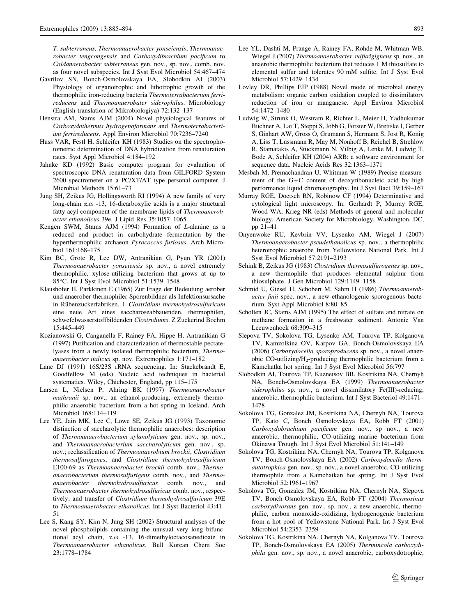<span id="page-8-0"></span>T. subterraneus, Thermoanaerobacter yonseiensis, Thermoanaerobacter tengcongensis and Carboxydibrachium pacificum to Caldanaerobacter subterraneus gen. nov., sp. nov., comb. nov. as four novel subspecies. Int J Syst Evol Microbiol 54:467–474

- Gavrilov SN, Bonch-Osmolovskaya EA, Slobodkin AI (2003) Physiology of organotrophic and lithotrophic growth of the thermophilic iron-reducing bacteria Thermoterrabacterium ferrireducens and Thermoanaerobater siderophilus. Microbiology (English translation of Mikrobiologiya) 72:132–137
- Henstra AM, Stams AJM (2004) Novel physiological features of Carboxydothermus hydrogenoformans and Thermoterrabacterium ferrireducens. Appl Environ Microbiol 70:7236–7240
- Huss VAR, Festl H, Schleifer KH (1983) Studies on the spectrophotometric determination of DNA hybridization from renaturation rates. Syst Appl Microbiol 4:184–192
- Jahnke KD (1992) Basic computer program for evaluation of spectroscopic DNA renaturation data from GILFORD System 2600 spectrometer on a PC/XT/AT type personal computer. J Microbial Methods 15:61–73
- Jung SH, Zeikus JG, Hollingsworth RI (1994) A new family of very long-chain  $\alpha$ , $\omega$  -13, 16-dicarboxylic acids is a major structural fatty acyl component of the membrane-lipids of Thermoanerobacter ethanolicus 39e. J Lipid Res 35:1057–1065
- Kengen SWM, Stams AJM (1994) Formation of L-alanine as a reduced end product in carbohydrate fermentation by the hyperthermophilic archaeon Pyrococcus furiosus. Arch Microbiol 161:168–175
- Kim BC, Grote R, Lee DW, Antranikian G, Pyun YR (2001) Thermoanaerobacter yonseiensis sp. nov., a novel extremely thermophilic, xylose-utilizing bacterium that grows at up to 85°C. Int J Syst Evol Microbiol 51:1539–1548
- Klaushofer H, Parkkinen E (1965) Zur Frage der Bedeutung aerober und anaerober thermophiler Sporenbildner als Infektionsursache in Rübenzuckerfabriken. I. Clostridium thermohydrosulfuricum eine neue Art eines saccharoseabbauenden, thermophilen, schwefelwasserstoffbildenden Clostridiums. Z Zuckerind Boehm 15:445–449
- Kozianowski G, Canganella F, Rainey FA, Hippe H, Antranikian G (1997) Purification and characterization of thermostable pectatelyases from a newly isolated thermophilic bacterium, Thermoanaerobacter italicus sp. nov. Extremophiles 1:171–182
- Lane DJ (1991) 16S/23S rRNA sequencing. In: Stackebrandt E, Goodfellow M (eds) Nucleic acid techniques in bacterial systematics. Wiley, Chichester, England, pp 115–175
- Larsen L, Nielsen P, Ahring BK (1997) Thermoanaerobacter mathranii sp. nov., an ethanol-producing, extremely thermophilic anaerobic bacterium from a hot spring in Iceland. Arch Microbiol 168:114–119
- Lee YE, Jain MK, Lee C, Lowe SE, Zeikus JG (1993) Taxonomic distinction of saccharolytic thermophilic anaerobes: description of Thermoanaerobacterium xylanolyticum gen. nov., sp. nov., and Thermoanaerobacterium saccharolyticum gen. nov., sp. nov.; reclassification of Thermoanaerobium brockii, Clostridium thermosulfurogenes, and Clostridium thermohydrosulfuricum E100-69 as Thermoanaerobacter brockii comb. nov., Thermoanaerobacterium thermosulfurigens comb. nov., and Thermoanaerobacter thermohydrosulfuricus comb. nov., and Thermoanaerobacter thermohydrosulfuricus comb. nov., respectively; and transfer of Clostridium thermohydrosulfuricum 39E to Thermoanaerobacter ethanolicus. Int J Syst Bacteriol 43:41– 51
- Lee S, Kang SY, Kim N, Jung SH (2002) Structural analyses of the novel phospholipids containing the unusual very long bifunctional acyl chain,  $\alpha$ , $\omega$  -13, 16-dimethyloctacosanedioate in Thermoanaerobacter ethanolicus. Bull Korean Chem Soc 23:1778–1784
- Lee YL, Dashti M, Prange A, Rainey FA, Rohde M, Whitman WB, Wiegel J (2007) Thermoanaerobacter sulfurigignens sp. nov., an anaerobic thermophilic bacterium that reduces 1 M thiosulfate to elemental sulfur and tolerates 90 mM sulfite. Int J Syst Evol Microbiol 57:1429–1434
- Lovley DR, Phillips EJP (1988) Novel mode of microbial energy metabolism: organic carbon oxidation coupled to dissimilatory reduction of iron or manganese. Appl Environ Microbiol 54:1472–1480
- Ludwig W, Strunk O, Westram R, Richter L, Meier H, Yadhukumar Buchner A, Lai T, Steppi S, Jobb G, Forster W, Brettske I, Gerber S, Ginhart AW, Gross O, Grumann S, Hermann S, Jost R, Konig A, Liss T, Lussmann R, May M, Nonhoff B, Reichel B, Strehlow R, Stamatakis A, Stuckmann N, Vilbig A, Lenke M, Ludwig T, Bode A, Schleifer KH (2004) ARB: a software environment for sequence data. Nucleic Acids Res 32:1363–1371
- Mesbah M, Premachandran U, Whitman W (1989) Precise measurement of the  $G+C$  content of deoxyribonucleic acid by high performance liquid chromatography. Int J Syst Bact 39:159–167
- Murray RGE, Doetsch RN, Robinow CF (1994) Determinative and cytological light microscopy. In: Gerhardt P, Murray RGE, Wood WA, Krieg NR (eds) Methods of general and molecular biology. American Society for Microbiology, Washington, DC, pp 21–41
- Onyenwoke RU, Kevbrin VV, Lysenko AM, Wiegel J (2007) Thermoanaerobacter pseudethanolicus sp. nov., a thermophilic heterotrophic anaerobe from Yellowstone National Park. Int J Syst Evol Microbiol 57:2191–2193
- Schink B, Zeikus JG (1983) Clostridium thermosulfurogenes sp. nov., a new thermophile that produces elemental sulphur from thiosulphate. J Gen Microbiol 129:1149–1158
- Schmid U, Giesel H, Schobert M, Sahm H (1986) Thermoanaerobacter finii spec. nov., a new ethanologenic sporogenous bacterium. Syst Appl Microbiol 8:80–85
- Scholten JC, Stams AJM (1995) The effect of sulfate and nitrate on methane formation in a freshwater sediment. Antonie Van Leeuwenhoek 68:309–315
- Slepova TV, Sokolova TG, Lysenko AM, Tourova TP, Kolganova TV, Kamzolkina OV, Karpov GA, Bonch-Osmolovskaya EA (2006) Carboxydocella sporoproducens sp. nov., a novel anaerobic CO-utilizing/ $H_2$ -producing thermophilic bacterium from a Kamchatka hot spring. Int J Syst Evol Microbiol 56:797
- Slobodkin AI, Tourova TP, Kuznetsov BB, Kostrikina NA, Chernyh NA, Bonch-Osmolovskaya EA (1999) Thermoanaerobacter siderophilus sp. nov., a novel dissimilatory Fe(III)-reducing, anaerobic, thermophilic bacterium. Int J Syst Bacteriol 49:1471– 1478
- Sokolova TG, Gonzalez JM, Kostrikina NA, Chernyh NA, Tourova TP, Kato C, Bonch Osmolovskaya EA, Robb FT (2001) Carboxydobrachium pacificum gen. nov., sp nov., a new anaerobic, thermophilic, CO-utilizing marine bacterium from Okinawa Trough. Int J Syst Evol Microbiol 51:141–149
- Sokolova TG, Kostrikina NA, Chernyh NA, Tourova TP, Kolganova TV, Bonch-Osmolovskaya EA (2002) Carboxydocella thermautotrophica gen. nov., sp. nov., a novel anaerobic, CO-utilizing thermophile from a Kamchatkan hot spring. Int J Syst Evol Microbiol 52:1961–1967
- Sokolova TG, Gonzalez JM, Kostrikina NA, Chernyh NA, Slepova TV, Bonch-Osmolovskaya EA, Robb FT (2004) Thermosinus carboxydivorans gen. nov., sp. nov., a new anaerobic, thermophilic, carbon monoxide-oxidizing, hydrogenogenic bacterium from a hot pool of Yellowstone National Park. Int J Syst Evol Microbiol 54:2353–2359
- Sokolova TG, Kostrikina NA, Chernyh NA, Kolganova TV, Tourova TP, Bonch-Osmolovskaya EA (2005) Thermincola carboxydiphila gen. nov., sp. nov., a novel anaerobic, carboxydotrophic,